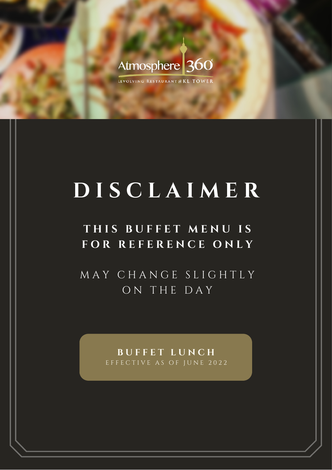## Atmosphere 360°

LEVOLVING RESTAURANT@KL TOWER

# **D I S C L A I M E R**

## **T H I S B U F F E T M E N U I S F O R R E F E R E N C E O N L Y**

M A Y C H A N G E S L I G H T L Y O N T H E D A Y

> **B U F F E T L U N C H** EFFECTIVE AS OF JUNE 2022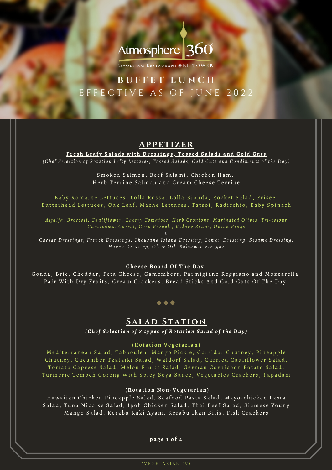## Atmosphere 360°

LEVOLVING RESTAURANT @ KL TOWER

### **B U F F E T L U N C H** E F F E C T I V E A S O F J U N E 2022

#### **A p p e t izer**

Fresh Leafy Salads with Dressings, Tossed Salads and Cold Cuts (Chef Selection of Rotation Lefty Lettuces, Tossed Salads, Cold Cuts and Condiments of the Day)

> Smoked Salmon, Beef Salami, Chicken Ham, Herb Terrine Salmon and Cream Cheese Terrine

Baby Romaine Lettuces, Lolla Rossa, Lolla Bionda, Rocket Salad, Frisee, Butterhead Lettuces, Oak Leaf, Mache Lettuces, Tatsoi, Radicchio, Baby Spinach

Alfalfa, Broccoli, Cauliflower, Cherry Tomatoes, Herb Croutons, Marinated Olives, Tri-colour Capsicums, Carrot, Corn Kernels, Kidney Beans, Onion Rings

*&* Caesar Dressings, French Dressings, Thousand Island Dressing, Lemon Dressing, Sesame Dressing, Honey Dressing, Olive Oil, Balsamic Vinegar

#### **Ch e e s e Bo a r d Of T h e Da y**

Gouda, Brie, Cheddar, Feta Cheese, Camembert, Parmigiano Reggiano and Mozzarella Pair With Dry Fruits, Cream Crackers, Bread Sticks And Cold Cuts Of The Day

 $\bullet\bullet\bullet$ 

#### $\underline{\textbf{SALAD} \ \textbf{STATION}}$ (Chef Selection of 8 types of Rotation Salad of the Day)

#### **(Ro t a ti o n Ve g e t a r i a n )**

Mediterranean Salad, Tabbouleh, Mango Pickle, Corridor Chutney, Pineapple Chutney, Cucumber Tzatziki Salad, Waldorf Salad, Curried Cauliflower Salad, Tomato Caprese Salad, Melon Fruits Salad, German Cornichon Potato Salad, Turmeric Tempeh Goreng With Spicy Soya Sauce, Vegetables Crackers, Papadam

#### **(Ro t a ti o n N o n -Ve g e t a r i a n )**

Hawaiian Chicken Pineapple Salad, Seafood Pasta Salad, Mayo-chicken Pasta Salad, Tuna Nicoise Salad, Ipoh Chicken Salad, Thai Beef Salad, Siamese Young Mango Salad, Kerabu Kaki Ayam, Kerabu Ikan Bilis, Fish Crackers

**p a g e 1 o f 4**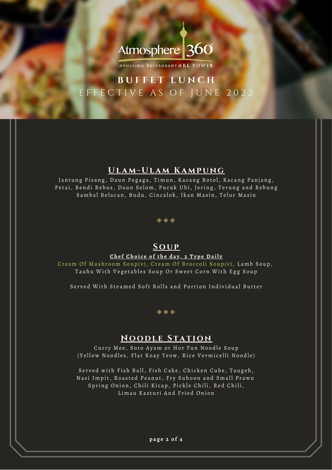

LEVOLVING RESTAURANT@KL TOWER

### **B U F F E T L U N C H** E F F E C T I V E A S O F J U N E 2022

#### **U la m - U la m Ka m p ung**

Jantung Pisang, Daun Pegaga, Timun, Kacang Botol, Kacang Panjang, Petai, Bendi Rebus, Daun Selom, Pucuk Ubi, Jering, Terung and Rebung Sambal Belacan, Budu, Cincalok, Ikan Masin, Telur Masin



#### **Sou p**

#### Chef Choice of the day, 2 Type Daily

Cream Of Mushroom  $\overline{Sup(v)}$ , Cream Of Broccoli Soup(v), Lamb Soup, Tauhu With Vegetables Soup Or Sweet Corn With Egg Soup

Served With Steamed Soft Rolls and Portion Individual Butter



#### **N ood l e S tat ion**

Curry Mee, Soto Ayam or Hor Fun Noodle Soup ( Yellow Noodles, Flat Koay Teow, Rice Vermicelli Noodle)

Served with Fish Ball, Fish Cake, Chicken Cube, Taugeh, Nasi Impit, Roasted Peanut, Fry Suhoon and Small Prawn Spring Onion, Chili Kicap, Pickle Chili, Red Chili, Limau Kasturi And Fried Onion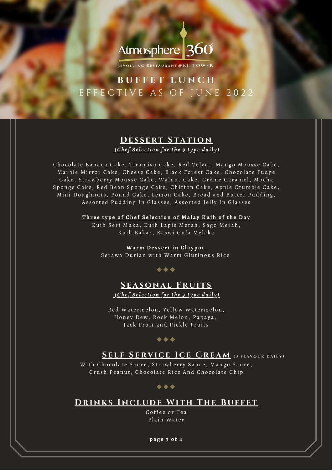## Atmosphere 360

LEVOLVING RESTAURANT @ KL TOWER

### **B U F F E T L U N C H** EFFECTIVE AS OF JUNE 2022

#### **DESSERT STATION** <u>(Chef Selection for the 9 type daily)</u>

Chocolate Banana Cake, Tiramisu Cake, Red Velvet, Mango Mousse Cake, Marble Mirror Cake, Cheese Cake, Black Forest Cake, Chocolate Fudge Cake, Strawberry Mousse Cake, Walnut Cake, Crème Caramel, Mocha Sponge Cake, Red Bean Sponge Cake, Chiffon Cake, Apple Crumble Cake, Mini Doughnuts, Pound Cake, Lemon Cake, Bread and Butter Pudding, Assorted Pudding In Glasses, Assorted Jelly In Glasses

> Three type of Chef Selection of Malay Kuih of the Day Kuih Seri Muka, Kuih Lapis Merah, Sago Merah, Kuih Bakar, Kaswi Gula Melaka

> > **Wa r m De s s e r t i n Cl a y p o t** Serawa Durian with Warm Glutinous Rice

#### $\bullet\hspace{0.1cm} \bullet\hspace{0.1cm} \bullet\hspace{0.1cm} \bullet$

#### **S easonal Fr u i t s** (Chef Selection for the 3 type daily)

Red Watermelon, Yellow Watermelon, Honey Dew, Rock Melon, Papaya, Jack Fruit and Pickle Fruits

#### $\bullet\bullet\bullet$

#### **SELF SERVICE ICE CREAM** (3 FLAVOUR DAILY)

With Chocolate Sauce, Strawberry Sauce, Mango Sauce, Crush Peanut, Chocolate Rice And Chocolate Chip

#### $\bullet\hspace{0.1cm} \bullet\hspace{0.1cm} \bullet\hspace{0.1cm} \bullet$

#### **DRINKS INCLUDE WITH THE BUFFET**

Coffee or Tea Plain Water

**p a g e 3 o f 4**